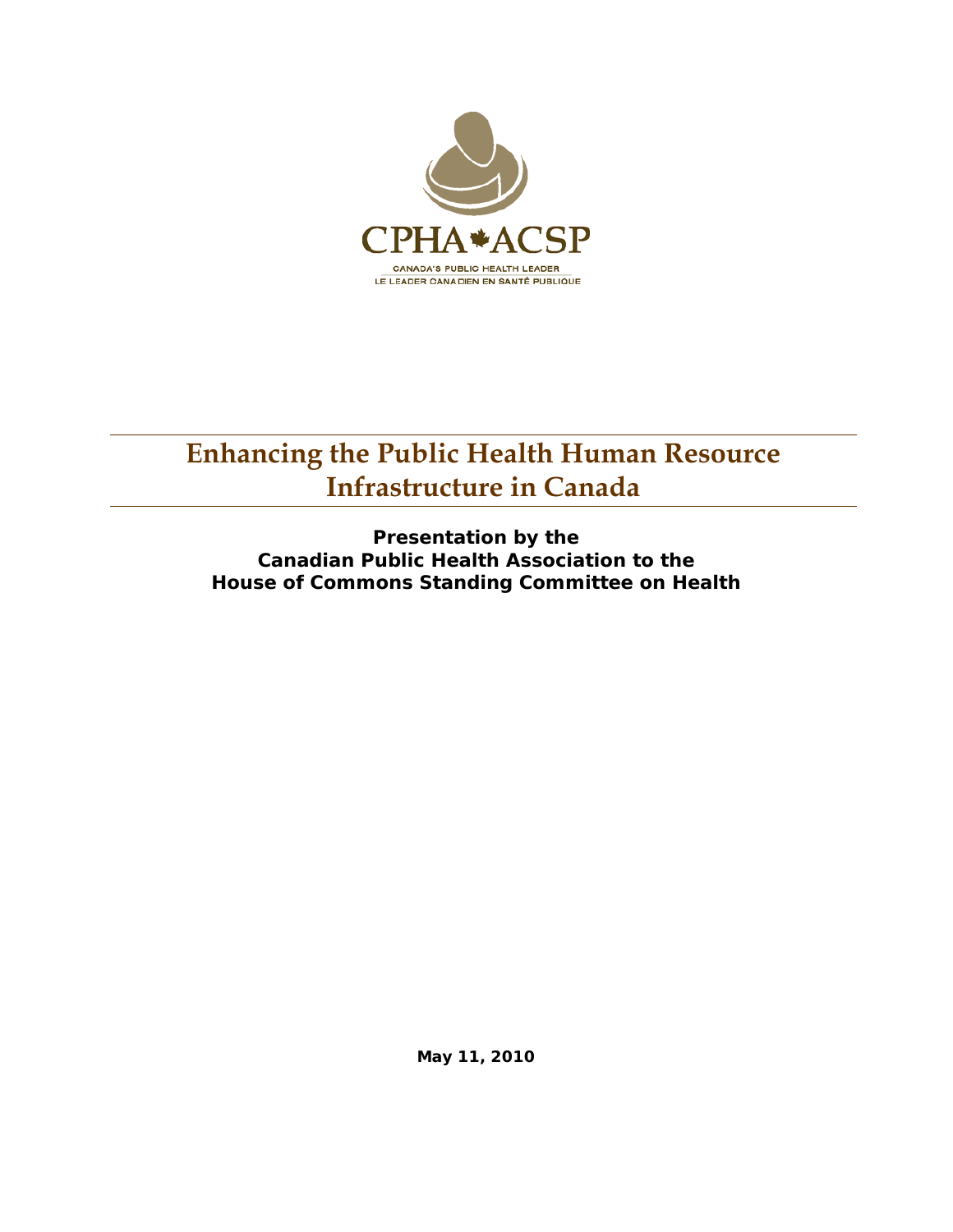

# **Enhancing the Public Health Human Resource Infrastructure in Canada**

**Presentation by the Canadian Public Health Association to the House of Commons Standing Committee on Health** 

**May 11, 2010**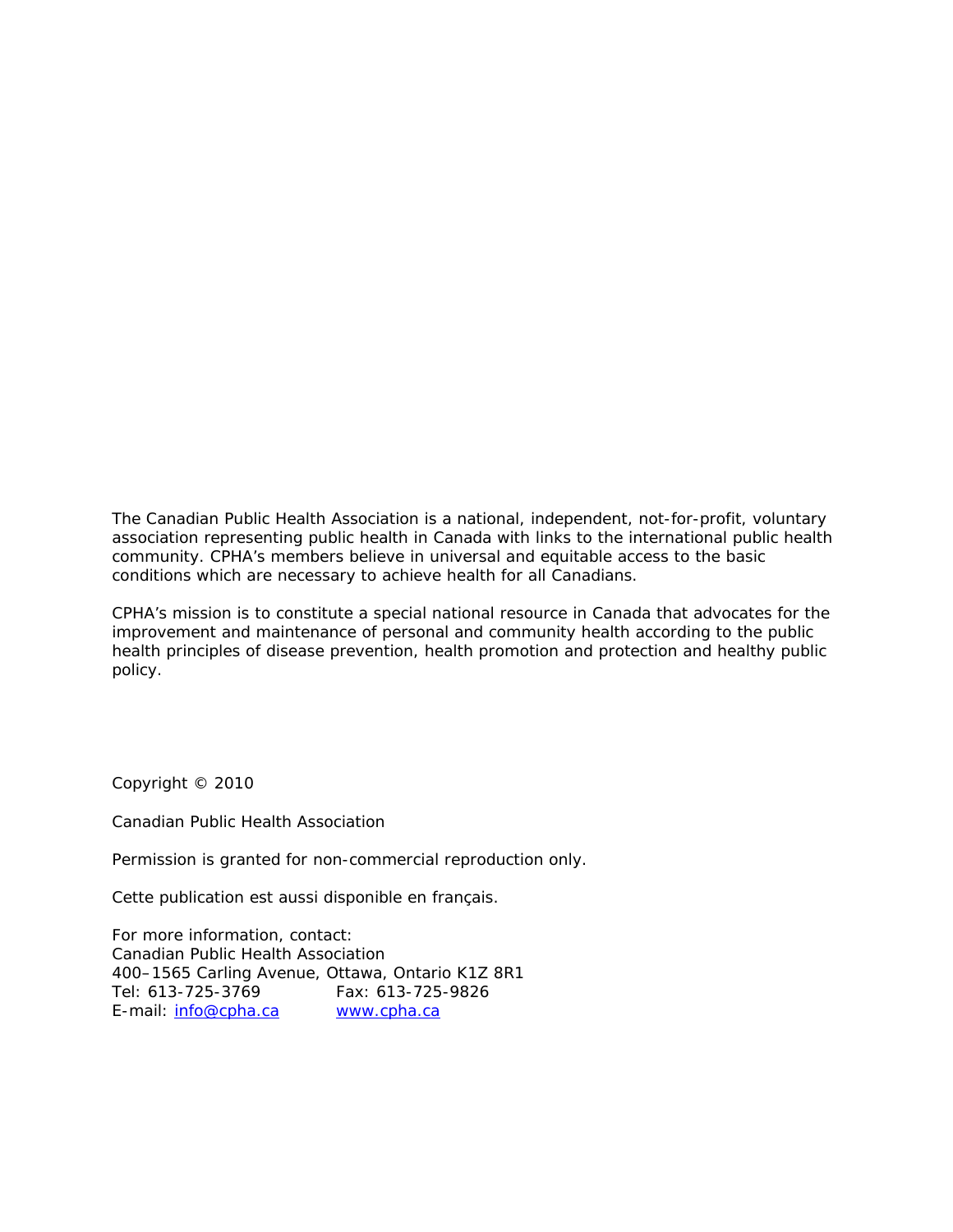The Canadian Public Health Association is a national, independent, not-for-profit, voluntary association representing public health in Canada with links to the international public health community. CPHA's members believe in universal and equitable access to the basic conditions which are necessary to achieve health for all Canadians.

CPHA's mission is to constitute a special national resource in Canada that advocates for the improvement and maintenance of personal and community health according to the public health principles of disease prevention, health promotion and protection and healthy public policy.

Copyright © 2010

Canadian Public Health Association

Permission is granted for non-commercial reproduction only.

Cette publication est aussi disponible en français.

For more information, contact: Canadian Public Health Association 400–1565 Carling Avenue, Ottawa, Ontario K1Z 8R1 Tel: 613-725-3769 Fax: 613-725-9826<br>E-mail: <u>info@cpha.ca www.cpha.ca</u> E-mail: info@cpha.ca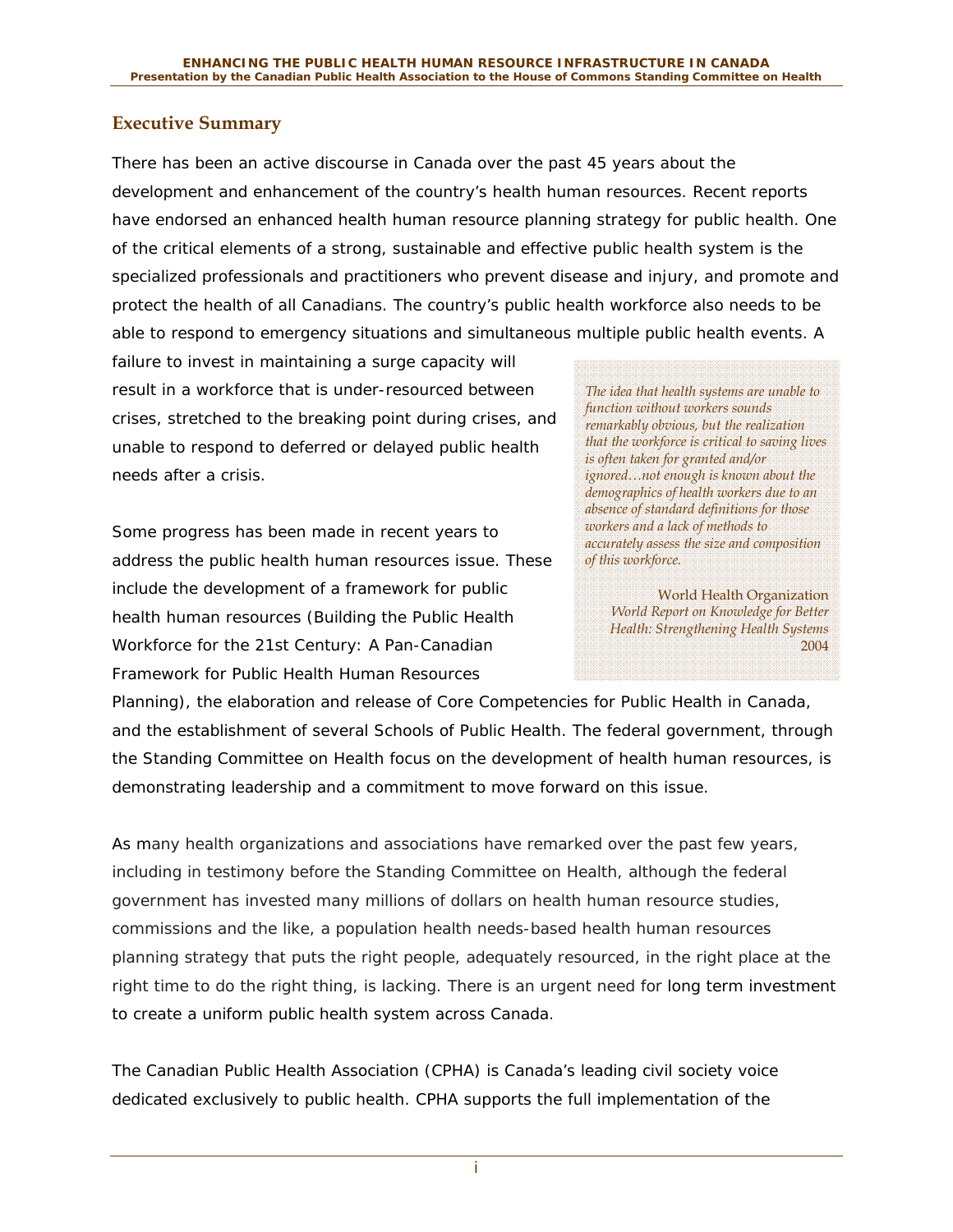#### **Executive Summary**

There has been an active discourse in Canada over the past 45 years about the development and enhancement of the country's health human resources. Recent reports have endorsed an enhanced health human resource planning strategy for public health. One of the critical elements of a strong, sustainable and effective public health system is the specialized professionals and practitioners who prevent disease and injury, and promote and protect the health of all Canadians. The country's public health workforce also needs to be able to respond to emergency situations and simultaneous multiple public health events. A

failure to invest in maintaining a surge capacity will result in a workforce that is under-resourced between crises, stretched to the breaking point during crises, and unable to respond to deferred or delayed public health needs after a crisis.

Some progress has been made in recent years to address the public health human resources issue. These include the development of a framework for public health human resources (*Building the Public Health Workforce for the 21st Century: A Pan-Canadian Framework for Public Health Human Resources* 

*The idea that health systems are unable to function without workers sounds remarkably obvious, but the realization that the workforce is critical to saving lives is often taken for granted and/or ignored…not enough is known about the demographics of health workers due to an absence of standard definitions for those workers and a lack of methods to accurately assess the size and composition of this workforce.* 

World Health Organization *World Report on Knowledge for Better Health: Strengthening Health Systems*  2004

*Planning*), the elaboration and release of Core Competencies for Public Health in Canada, and the establishment of several Schools of Public Health. The federal government, through the Standing Committee on Health focus on the development of health human resources, is demonstrating leadership and a commitment to move forward on this issue.

As many health organizations and associations have remarked over the past few years, including in testimony before the Standing Committee on Health, although the federal government has invested many millions of dollars on health human resource studies, commissions and the like, a population health needs-based health human resources planning strategy that puts the right people, adequately resourced, in the right place at the right time to do the right thing, is lacking. There is an urgent need for long term investment to create a uniform public health system across Canada.

The Canadian Public Health Association (CPHA) is Canada's leading civil society voice dedicated exclusively to public health. CPHA supports the full implementation of the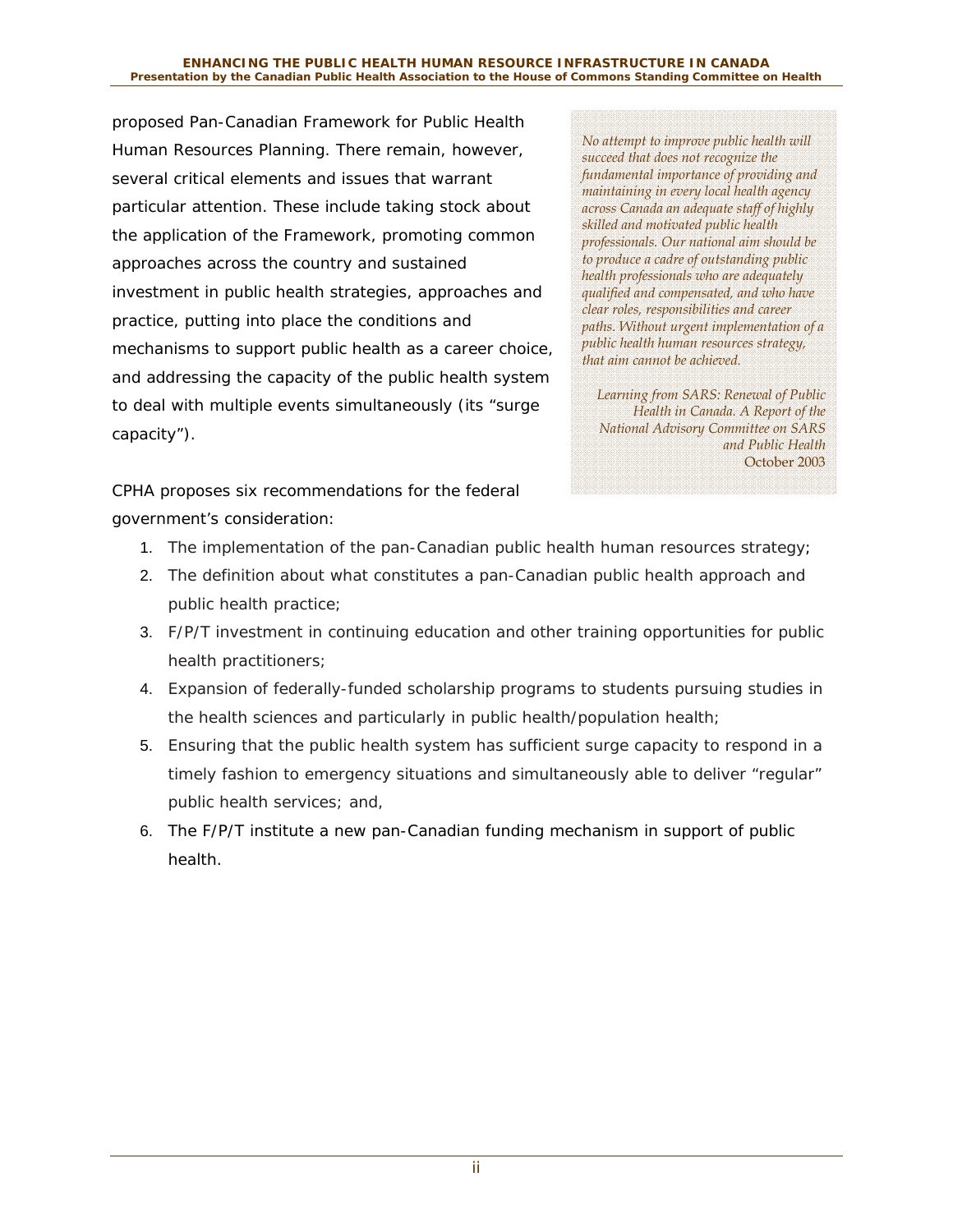#### **ENHANCING THE PUBLIC HEALTH HUMAN RESOURCE INFRASTRUCTURE IN CANADA Presentation by the Canadian Public Health Association to the House of Commons Standing Committee on Health**

proposed *Pan-Canadian Framework for Public Health Human Resources Planning*. There remain, however, several critical elements and issues that warrant particular attention. These include taking stock about the application of the Framework, promoting common approaches across the country and sustained investment in public health strategies, approaches and practice, putting into place the conditions and mechanisms to support public health as a career choice, and addressing the capacity of the public health system to deal with multiple events simultaneously (its "surge capacity").

*No attempt to improve public health will succeed that does not recognize the fundamental importance of providing and maintaining in every local health agency across Canada an adequate staff of highly skilled and motivated public health professionals. Our national aim should be to produce a cadre of outstanding public health professionals who are adequately qualified and compensated, and who have clear roles, responsibilities and career paths. Without urgent implementation of a public health human resources strategy, that aim cannot be achieved.* 

*Learning from SARS: Renewal of Public Health in Canada. A Report of the National Advisory Committee on SARS and Public Health*  October 2003

CPHA proposes six recommendations for the federal government's consideration:

- 1. The implementation of the pan-Canadian public health human resources strategy;
- 2. The definition about what constitutes a pan-Canadian public health approach and public health practice;
- 3. F/P/T investment in continuing education and other training opportunities for public health practitioners;
- 4. Expansion of federally-funded scholarship programs to students pursuing studies in the health sciences and particularly in public health/population health;
- 5. Ensuring that the public health system has sufficient surge capacity to respond in a timely fashion to emergency situations and simultaneously able to deliver "regular" public health services; and,
- 6. The F/P/T institute a new pan-Canadian funding mechanism in support of public health.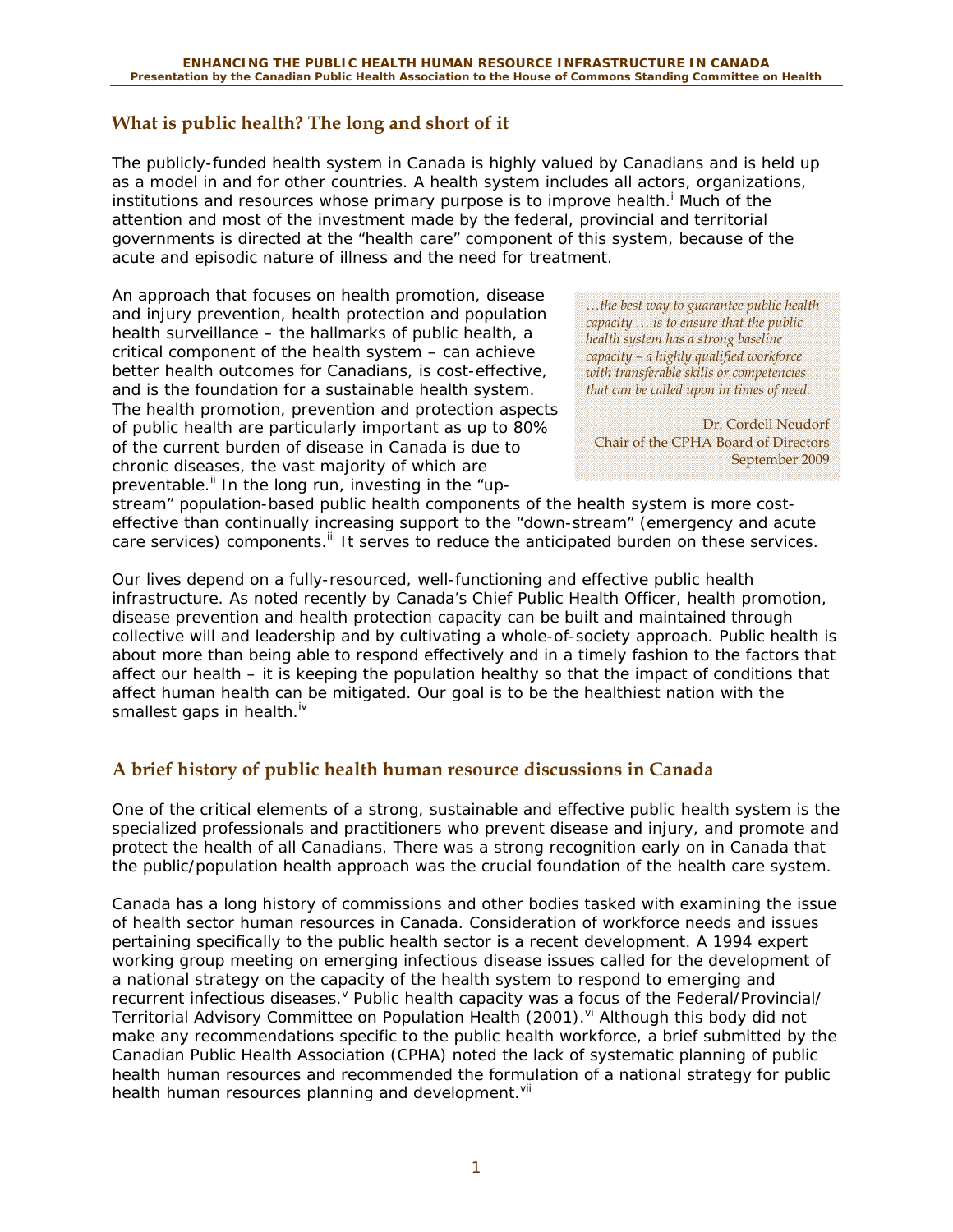### **What is public health? The long and short of it**

The publicly-funded health system in Canada is highly valued by Canadians and is held up as a model in and for other countries. A health system includes all actors, organizations, institutions and resources whose primary purpose is to improve health.<sup>1</sup> Much of the attention and most of the investment made by the federal, provincial and territorial governments is directed at the "health care" component of this system, because of the acute and episodic nature of illness and the need for treatment.

An approach that focuses on health promotion, disease and injury prevention, health protection and population health surveillance – the hallmarks of public health, a critical component of the health system – can achieve better health outcomes for Canadians, is cost-effective, and is the foundation for a sustainable health system. The health promotion, prevention and protection aspects of public health are particularly important as up to 80% of the current burden of disease in Canada is due to chronic diseases, the vast majority of which are preventable.<sup>ii</sup> In the long run, investing in the "up-

*…the best way to guarantee public health capacity … is to ensure that the public health system has a strong baseline capacity – a highly qualified workforce with transferable skills or competencies that can be called upon in times of need.* 

Dr. Cordell Neudorf Chair of the CPHA Board of Directors September 2009

stream" population-based public health components of the health system is more costeffective than continually increasing support to the "down-stream" (emergency and acute care services) components.<sup>iii</sup> It serves to reduce the anticipated burden on these services.

Our lives depend on a fully-resourced, well-functioning and effective public health infrastructure. As noted recently by Canada's Chief Public Health Officer, health promotion, disease prevention and health protection capacity can be built and maintained through collective will and leadership and by cultivating a whole-of-society approach. Public health is about more than being able to respond effectively and in a timely fashion to the factors that affect our health – it is keeping the population healthy so that the impact of conditions that affect human health can be mitigated. Our goal is to be the healthiest nation with the smallest gaps in health.<sup>iv</sup>

## **A brief history of public health human resource discussions in Canada**

One of the critical elements of a strong, sustainable and effective public health system is the specialized professionals and practitioners who prevent disease and injury, and promote and protect the health of all Canadians. There was a strong recognition early on in Canada that the public/population health approach was the crucial foundation of the health care system.

Canada has a long history of commissions and other bodies tasked with examining the issue of health sector human resources in Canada. Consideration of workforce needs and issues pertaining specifically to the public health sector is a recent development. A 1994 expert working group meeting on emerging infectious disease issues called for the development of a national strategy on the capacity of the health system to respond to emerging and recurrent infectious diseases. <sup>V</sup> Public health capacity was a focus of the Federal/Provincial/ Territorial Advisory Committee on Population Health (2001).<sup>vi</sup> Although this body did not make any recommendations specific to the public health workforce, a brief submitted by the Canadian Public Health Association (CPHA) noted the lack of systematic planning of public health human resources and recommended the formulation of a national strategy for public health human resources planning and development.<sup>vii</sup>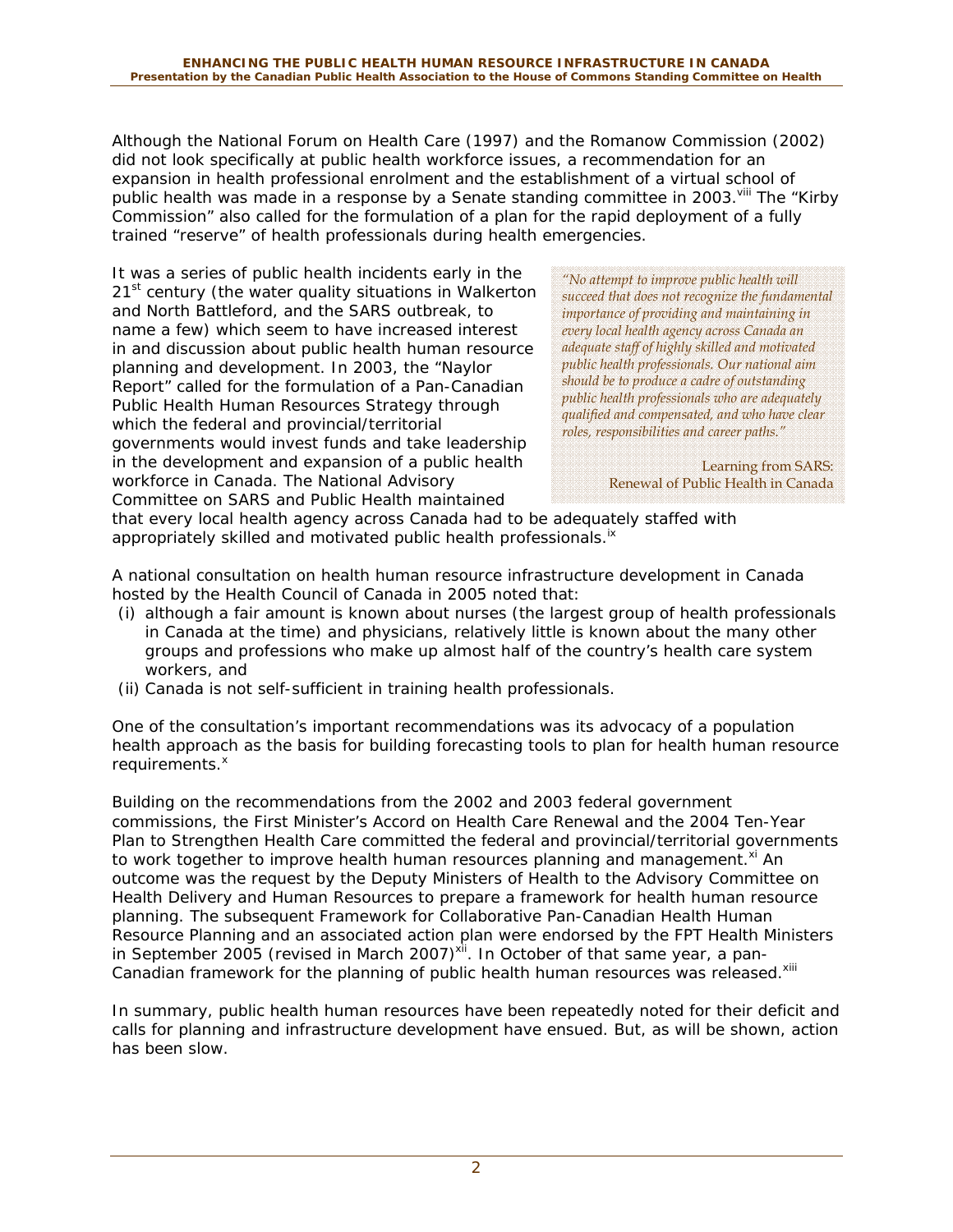Although the National Forum on Health Care (1997) and the Romanow Commission (2002) did not look specifically at public health workforce issues, a recommendation for an expansion in health professional enrolment and the establishment of a virtual school of public health was made in a response by a Senate standing committee in 2003.<sup>viii</sup> The "Kirby" Commission" also called for the formulation of a plan for the rapid deployment of a fully trained "reserve" of health professionals during health emergencies.

It was a series of public health incidents early in the 21<sup>st</sup> century (the water quality situations in Walkerton and North Battleford, and the SARS outbreak, to name a few) which seem to have increased interest in and discussion about public health human resource planning and development. In 2003, the "Naylor Report" called for the formulation of a Pan-Canadian Public Health Human Resources Strategy through which the federal and provincial/territorial governments would invest funds and take leadership in the development and expansion of a public health workforce in Canada. The National Advisory Committee on SARS and Public Health maintained

*"No attempt to improve public health will succeed that does not recognize the fundamental importance of providing and maintaining in every local health agency across Canada an adequate staff of highly skilled and motivated public health professionals. Our national aim should be to produce a cadre of outstanding public health professionals who are adequately qualified and compensated, and who have clear roles, responsibilities and career paths."* 

> Learning from SARS: Renewal of Public Health in Canada

that every local health agency across Canada had to be adequately staffed with appropriately skilled and motivated public health professionals.<sup>ix</sup>

A national consultation on health human resource infrastructure development in Canada hosted by the Health Council of Canada in 2005 noted that:

- (i) although a fair amount is known about nurses (the largest group of health professionals in Canada at the time) and physicians, relatively little is known about the many other groups and professions who make up almost half of the country's health care system workers, and
- (ii) Canada is not self-sufficient in training health professionals.

One of the consultation's important recommendations was its advocacy of a population health approach as the basis for building forecasting tools to plan for health human resource requirements.<sup>x</sup>

Building on the recommendations from the 2002 and 2003 federal government commissions, the First Minister's Accord on Health Care Renewal and the 2004 Ten-Year Plan to Strengthen Health Care committed the federal and provincial/territorial governments to work together to improve health human resources planning and management.<sup>xi</sup> An outcome was the request by the Deputy Ministers of Health to the Advisory Committee on Health Delivery and Human Resources to prepare a framework for health human resource planning. The subsequent *Framework for Collaborative Pan-Canadian Health Human Resource Planning* and an associated action plan were endorsed by the FPT Health Ministers in September 2005 (revised in March 2007)<sup>xii</sup>. In October of that same year, a pan-Canadian framework for the planning of public health human resources was released.<sup>xiii</sup>

In summary, public health human resources have been repeatedly noted for their deficit and calls for planning and infrastructure development have ensued. But, as will be shown, action has been slow.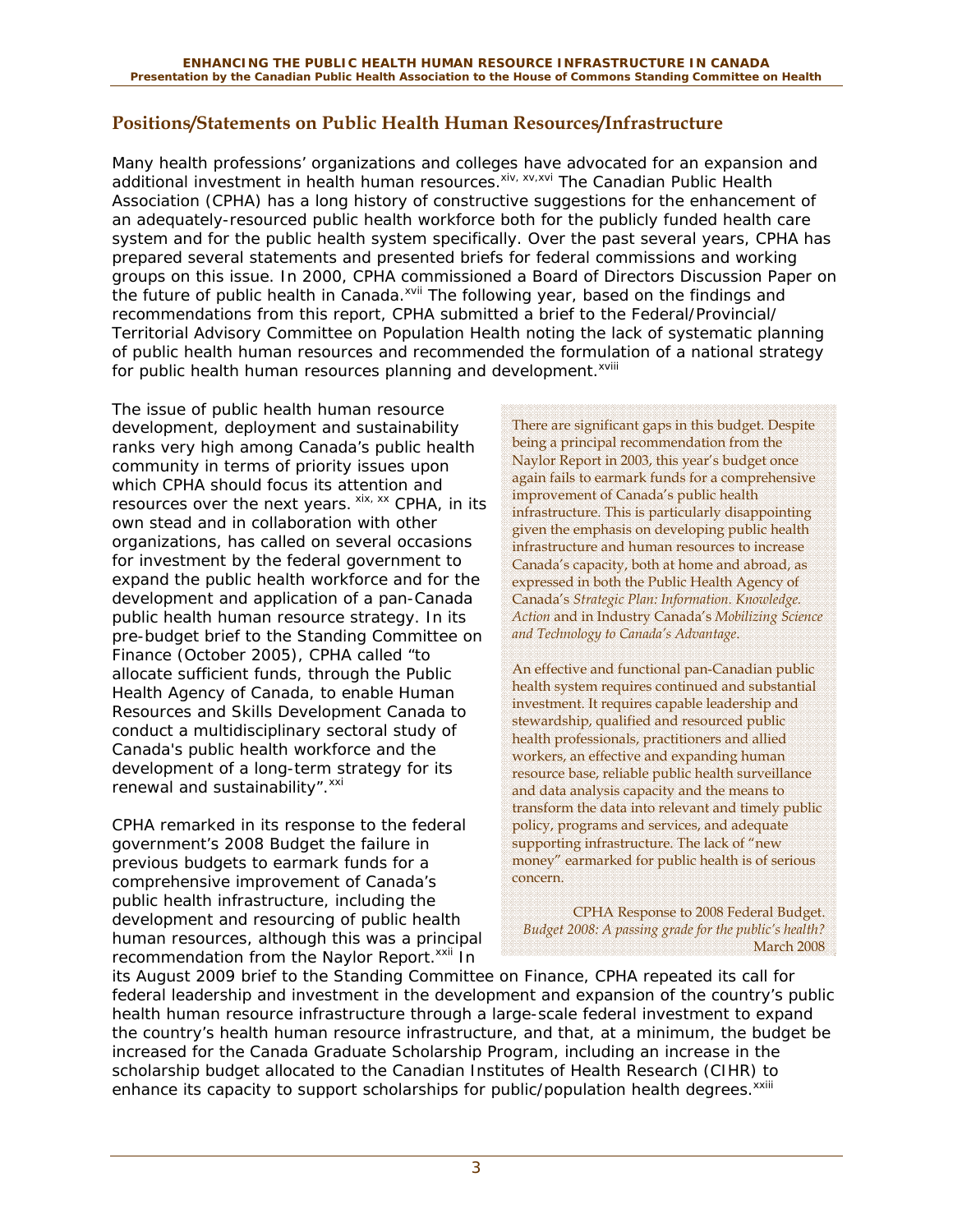#### **Positions/Statements on Public Health Human Resources/Infrastructure**

Many health professions' organizations and colleges have advocated for an expansion and additional investment in health human resources.<sup>xiv, xv, xvi</sup> The Canadian Public Health Association (CPHA) has a long history of constructive suggestions for the enhancement of an adequately-resourced public health workforce both for the publicly funded health care system and for the public health system specifically. Over the past several years, CPHA has prepared several statements and presented briefs for federal commissions and working groups on this issue. In 2000, CPHA commissioned a Board of Directors Discussion Paper on the future of public health in Canada.<sup>xvii</sup> The following year, based on the findings and recommendations from this report, CPHA submitted a brief to the Federal/Provincial/ Territorial Advisory Committee on Population Health noting the lack of systematic planning of public health human resources and recommended the formulation of a national strategy for public health human resources planning and development.<sup>xviii</sup>

The issue of public health human resource development, deployment and sustainability ranks very high among Canada's public health community in terms of priority issues upon which CPHA should focus its attention and resources over the next years.  $x$ <sup>xix, xx</sup> CPHA, in its own stead and in collaboration with other organizations, has called on several occasions for investment by the federal government to expand the public health workforce and for the development and application of a pan-Canada public health human resource strategy. In its pre-budget brief to the Standing Committee on Finance (October 2005), CPHA called "to allocate sufficient funds, through the Public Health Agency of Canada, to enable Human Resources and Skills Development Canada to conduct a multidisciplinary sectoral study of Canada's public health workforce and the development of a long-term strategy for its renewal and sustainability". XXI

CPHA remarked in its response to the federal government's 2008 Budget the failure in previous budgets to earmark funds for a comprehensive improvement of Canada's public health infrastructure, including the development and resourcing of public health human resources, although this was a principal recommendation from the Naylor Report.<sup>xxii</sup> In

There are significant gaps in this budget. Despite being a principal recommendation from the Naylor Report in 2003, this year's budget once again fails to earmark funds for a comprehensive improvement of Canada's public health infrastructure. This is particularly disappointing given the emphasis on developing public health infrastructure and human resources to increase Canada's capacity, both at home and abroad, as expressed in both the Public Health Agency of Canada's *Strategic Plan: Information. Knowledge. Action* and in Industry Canada's *Mobilizing Science and Technology to Canada's Advantage*.

An effective and functional pan-Canadian public health system requires continued and substantial investment. It requires capable leadership and stewardship, qualified and resourced public health professionals, practitioners and allied workers, an effective and expanding human resource base, reliable public health surveillance and data analysis capacity and the means to transform the data into relevant and timely public policy, programs and services, and adequate supporting infrastructure. The lack of "new money" earmarked for public health is of serious concern.

CPHA Response to 2008 Federal Budget. *Budget 2008: A passing grade for the public's health?* March 2008

its August 2009 brief to the Standing Committee on Finance, CPHA repeated its call for federal leadership and investment in the development and expansion of the country's public health human resource infrastructure through a large-scale federal investment to expand the country's health human resource infrastructure, and that, at a minimum, the budget be increased for the Canada Graduate Scholarship Program, including an increase in the scholarship budget allocated to the Canadian Institutes of Health Research (CIHR) to enhance its capacity to support scholarships for public/population health degrees.<sup>xxiii</sup>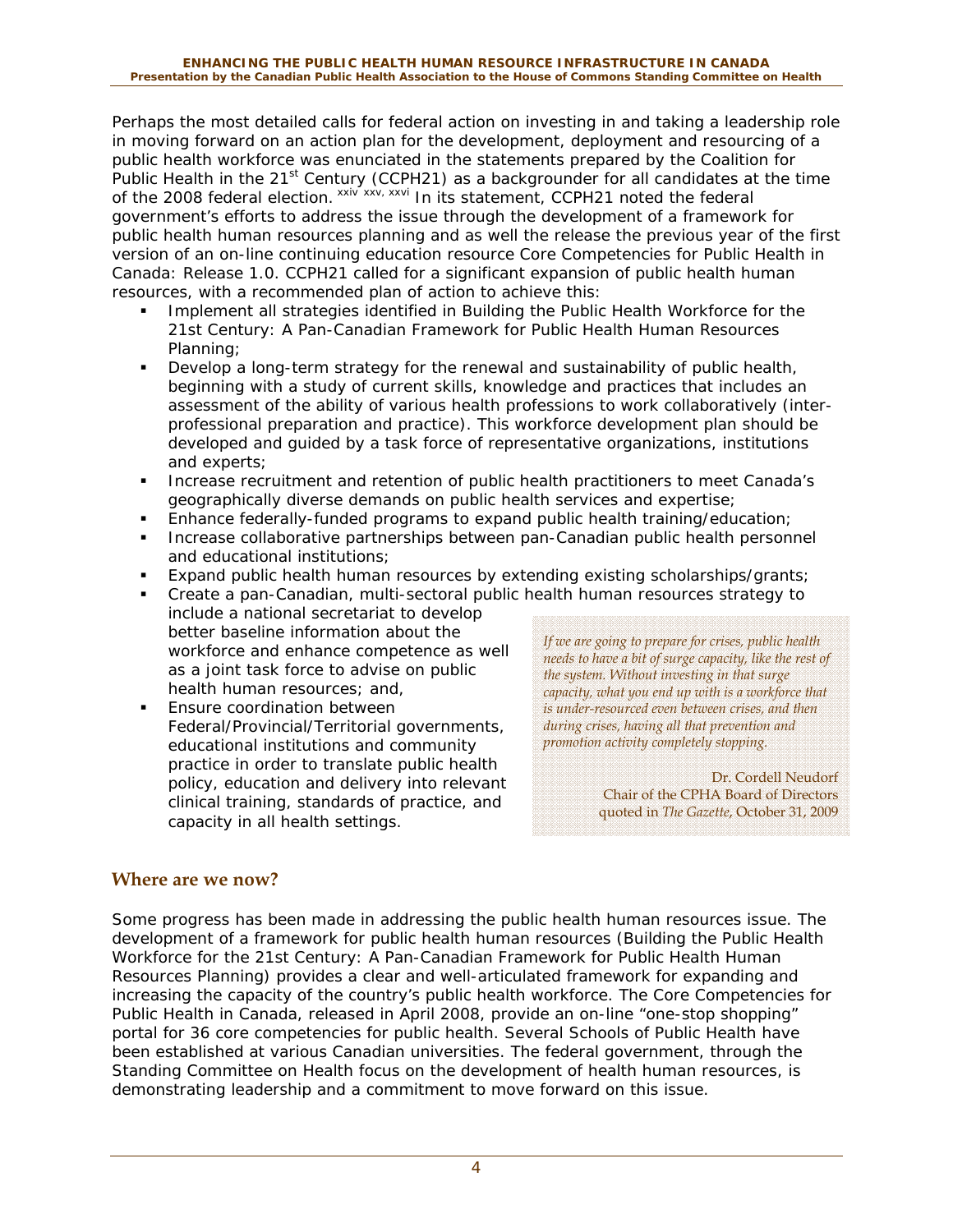Perhaps the most detailed calls for federal action on investing in and taking a leadership role in moving forward on an action plan for the development, deployment and resourcing of a public health workforce was enunciated in the statements prepared by the Coalition for Public Health in the 21<sup>st</sup> Century (CCPH21) as a backgrounder for all candidates at the time of the 2008 federal election. xxiv xxv<sub>i</sub> xxvi In its statement, CCPH21 noted the federal government's efforts to address the issue through the development of a framework for public health human resources planning and as well the release the previous year of the first version of an on-line continuing education resource *Core Competencies for Public Health in Canada: Release 1.0.* CCPH21 called for a significant expansion of public health human resources, with a recommended plan of action to achieve this:

- Implement all strategies identified in *Building the Public Health Workforce for the 21st Century: A Pan-Canadian Framework for Public Health Human Resources Planning;*
- Develop a long-term strategy for the renewal and sustainability of public health, beginning with a study of current skills, knowledge and practices that includes an assessment of the ability of various health professions to work collaboratively (interprofessional preparation and practice). This workforce development plan should be developed and guided by a task force of representative organizations, institutions and experts;
- Increase recruitment and retention of public health practitioners to meet Canada's geographically diverse demands on public health services and expertise;
- Enhance federally-funded programs to expand public health training/education;
- Increase collaborative partnerships between pan-Canadian public health personnel and educational institutions;
- Expand public health human resources by extending existing scholarships/grants;
- Create a pan-Canadian, multi-sectoral public health human resources strategy to include a national secretariat to develop better baseline information about the workforce and enhance competence as well as a joint task force to advise on public health human resources; and,
- Ensure coordination between Federal/Provincial/Territorial governments, educational institutions and community practice in order to translate public health policy, education and delivery into relevant clinical training, standards of practice, and capacity in all health settings.

*If we are going to prepare for crises, public health needs to have a bit of surge capacity, like the rest of the system. Without investing in that surge capacity, what you end up with is a workforce that is under-resourced even between crises, and then during crises, having all that prevention and promotion activity completely stopping.* 

> Dr. Cordell Neudorf Chair of the CPHA Board of Directors quoted in *The Gazette*, October 31, 2009

### **Where are we now?**

Some progress has been made in addressing the public health human resources issue. The development of a framework for public health human resources (*Building the Public Health Workforce for the 21st Century: A Pan-Canadian Framework for Public Health Human Resources Planning*) provides a clear and well-articulated framework for expanding and increasing the capacity of the country's public health workforce. The Core Competencies for Public Health in Canada, released in April 2008, provide an on-line "one-stop shopping" portal for 36 core competencies for public health. Several Schools of Public Health have been established at various Canadian universities. The federal government, through the Standing Committee on Health focus on the development of health human resources, is demonstrating leadership and a commitment to move forward on this issue.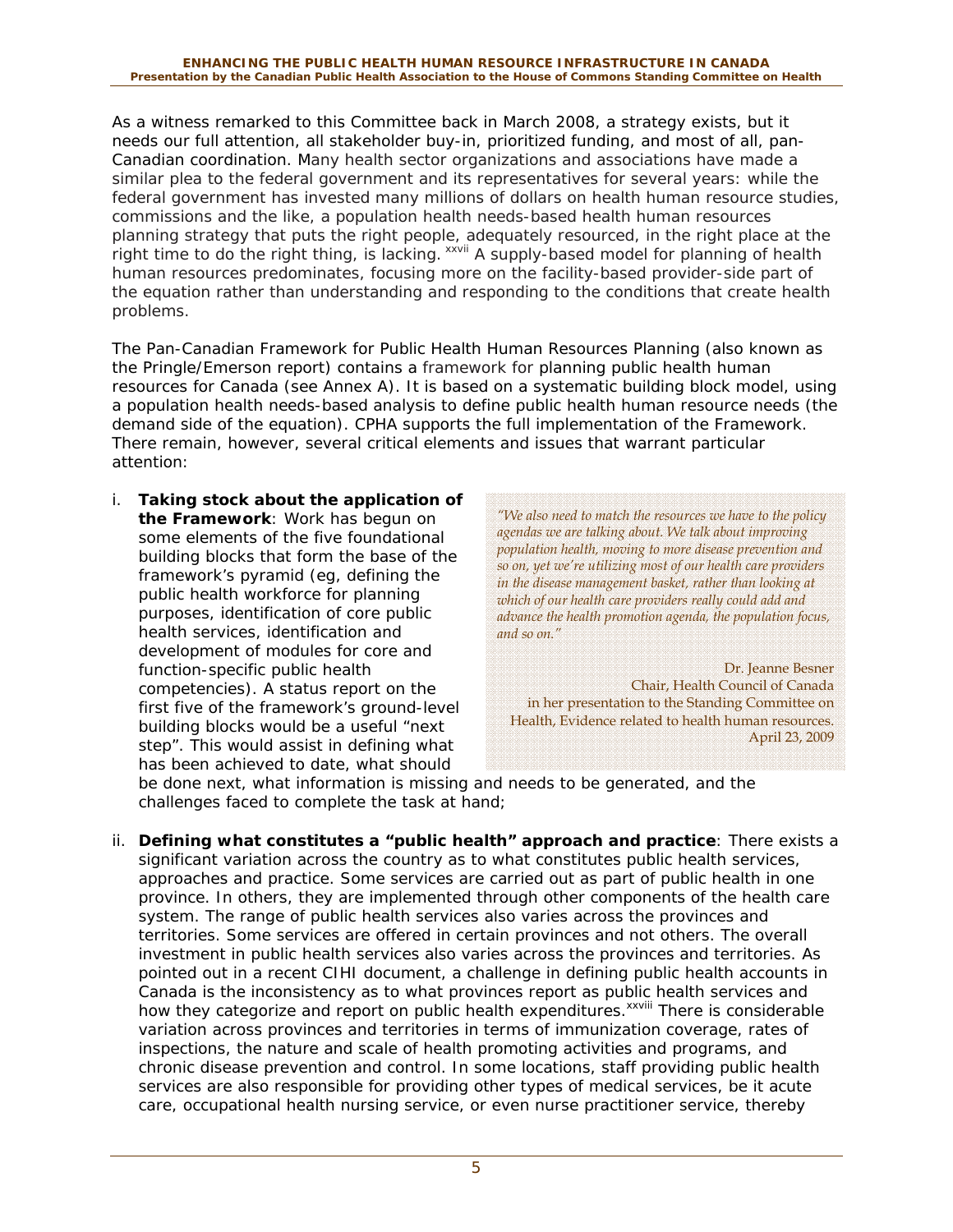As a witness remarked to this Committee back in March 2008, a strategy exists, but it needs our full attention, all stakeholder buy-in, prioritized funding, and most of all, pan-Canadian coordination. Many health sector organizations and associations have made a similar plea to the federal government and its representatives for several years: while the federal government has invested many millions of dollars on health human resource studies, commissions and the like, a population health needs-based health human resources planning strategy that puts the right people, adequately resourced, in the right place at the right time to do the right thing, is lacking. xxvii A supply-based model for planning of health human resources predominates, focusing more on the facility-based provider-side part of the equation rather than understanding and responding to the conditions that create health problems.

The *Pan-Canadian Framework for Public Health Human Resources Planning* (also known as the Pringle/Emerson report) contains a framework for planning public health human resources for Canada (see Annex A). It is based on a systematic building block model, using a population health needs-based analysis to define public health human resource needs (the demand side of the equation). CPHA supports the full implementation of the Framework. There remain, however, several critical elements and issues that warrant particular attention:

*i. Taking stock about the application of the Framework*: Work has begun on some elements of the five foundational building blocks that form the base of the framework's pyramid (eg, defining the public health workforce for planning purposes, identification of core public health services, identification and development of modules for core and function-specific public health competencies). A status report on the first five of the framework's ground-level building blocks would be a useful "next step". This would assist in defining what has been achieved to date, what should

*"We also need to match the resources we have to the policy agendas we are talking about. We talk about improving population health, moving to more disease prevention and so on, yet we're utilizing most of our health care providers in the disease management basket, rather than looking at which of our health care providers really could add and advance the health promotion agenda, the population focus, and so on."* 

Dr. Jeanne Besner Chair, Health Council of Canada in her presentation to the Standing Committee on Health, Evidence related to health human resources. April 23, 2009

be done next, what information is missing and needs to be generated, and the challenges faced to complete the task at hand;

*ii. Defining what constitutes a "public health" approach and practice*: There exists a significant variation across the country as to what constitutes public health services, approaches and practice. Some services are carried out as part of public health in one province. In others, they are implemented through other components of the health care system. The range of public health services also varies across the provinces and territories. Some services are offered in certain provinces and not others. The overall investment in public health services also varies across the provinces and territories. As pointed out in a recent CIHI document, a challenge in defining public health accounts in Canada is the inconsistency as to what provinces report as public health services and how they categorize and report on public health expenditures.<sup>xxviii</sup> There is considerable variation across provinces and territories in terms of immunization coverage, rates of inspections, the nature and scale of health promoting activities and programs, and chronic disease prevention and control. In some locations, staff providing public health services are also responsible for providing other types of medical services, be it acute care, occupational health nursing service, or even nurse practitioner service, thereby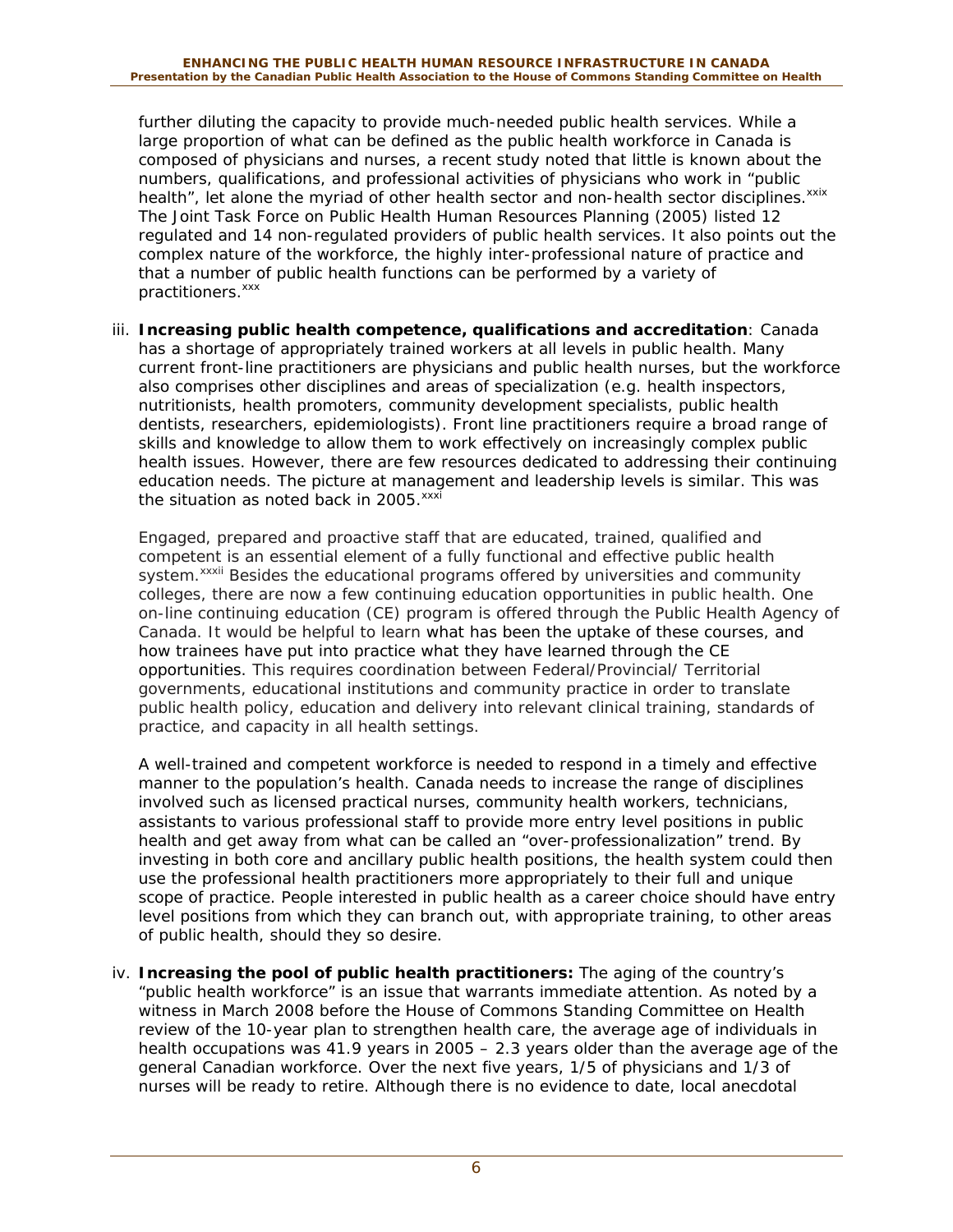further diluting the capacity to provide much-needed public health services. While a large proportion of what can be defined as the public health workforce in Canada is composed of physicians and nurses, a recent study noted that little is known about the numbers, qualifications, and professional activities of physicians who work in "public health", let alone the myriad of other health sector and non-health sector disciplines. xxix The Joint Task Force on Public Health Human Resources Planning (2005) listed 12 regulated and 14 non-regulated providers of public health services. It also points out the complex nature of the workforce, the highly inter-professional nature of practice and that a number of public health functions can be performed by a variety of practitioners.<sup>xxx</sup>

*iii. Increasing public health competence, qualifications and accreditation*: Canada has a shortage of appropriately trained workers at all levels in public health. Many current front-line practitioners are physicians and public health nurses, but the workforce also comprises other disciplines and areas of specialization (e.g. health inspectors, nutritionists, health promoters, community development specialists, public health dentists, researchers, epidemiologists). Front line practitioners require a broad range of skills and knowledge to allow them to work effectively on increasingly complex public health issues. However, there are few resources dedicated to addressing their continuing education needs. The picture at management and leadership levels is similar. This was the situation as noted back in 2005. $x$ <sup>xxxi</sup>

Engaged, prepared and proactive staff that are educated, trained, qualified and competent is an essential element of a fully functional and effective public health system.<sup>xxxii</sup> Besides the educational programs offered by universities and community colleges, there are now a few continuing education opportunities in public health. One on-line continuing education (CE) program is offered through the Public Health Agency of Canada. It would be helpful to learn what has been the uptake of these courses, and how trainees have put into practice what they have learned through the CE opportunities. This requires coordination between Federal/Provincial/ Territorial governments, educational institutions and community practice in order to translate public health policy, education and delivery into relevant clinical training, standards of practice, and capacity in all health settings.

A well-trained and competent workforce is needed to respond in a timely and effective manner to the population's health. Canada needs to increase the range of disciplines involved such as licensed practical nurses, community health workers, technicians, assistants to various professional staff to provide more entry level positions in public health and get away from what can be called an "over-professionalization" trend. By investing in both core and ancillary public health positions, the health system could then use the professional health practitioners more appropriately to their full and unique scope of practice. People interested in public health as a career choice should have entry level positions from which they can branch out, with appropriate training, to other areas of public health, should they so desire.

*iv. Increasing the pool of public health practitioners:* The aging of the country's "public health workforce" is an issue that warrants immediate attention. As noted by a witness in March 2008 before the House of Commons Standing Committee on Health review of the 10-year plan to strengthen health care, the average age of individuals in health occupations was 41.9 years in 2005 – 2.3 years older than the average age of the general Canadian workforce. Over the next five years, 1/5 of physicians and 1/3 of nurses will be ready to retire. Although there is no evidence to date, local anecdotal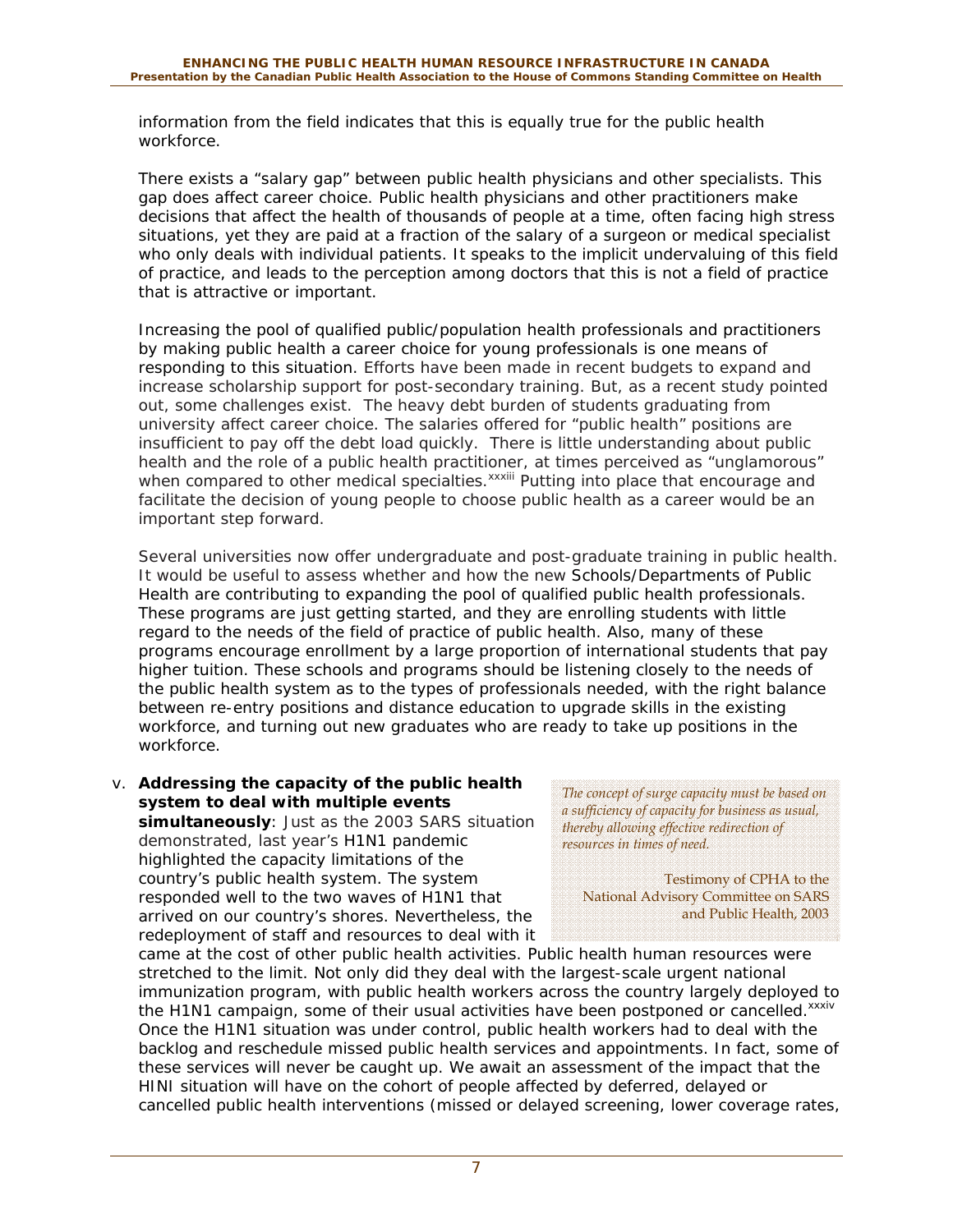information from the field indicates that this is equally true for the public health workforce.

There exists a "salary gap" between public health physicians and other specialists. This gap does affect career choice. Public health physicians and other practitioners make decisions that affect the health of thousands of people at a time, often facing high stress situations, yet they are paid at a fraction of the salary of a surgeon or medical specialist who only deals with individual patients. It speaks to the implicit undervaluing of this field of practice, and leads to the perception among doctors that this is not a field of practice that is attractive or important.

Increasing the pool of qualified public/population health professionals and practitioners by making public health a career choice for young professionals is one means of responding to this situation. Efforts have been made in recent budgets to expand and increase scholarship support for post-secondary training. But, as a recent study pointed out, some challenges exist. The heavy debt burden of students graduating from university affect career choice. The salaries offered for "public health" positions are insufficient to pay off the debt load quickly. There is little understanding about public health and the role of a public health practitioner, at times perceived as "unglamorous" when compared to other medical specialties.<sup>xxxiii</sup> Putting into place that encourage and facilitate the decision of young people to choose public health as a career would be an important step forward.

Several universities now offer undergraduate and post-graduate training in public health. It would be useful to assess whether and how the new Schools/Departments of Public Health are contributing to expanding the pool of qualified public health professionals. These programs are just getting started, and they are enrolling students with little regard to the needs of the field of practice of public health. Also, many of these programs encourage enrollment by a large proportion of international students that pay higher tuition. These schools and programs should be listening closely to the needs of the public health system as to the types of professionals needed, with the right balance between re-entry positions and distance education to upgrade skills in the existing workforce, and turning out new graduates who are ready to take up positions in the workforce.

*v. Addressing the capacity of the public health system to deal with multiple events simultaneously*: Just as the 2003 SARS situation demonstrated, last year's H1N1 pandemic highlighted the capacity limitations of the country's public health system. The system responded well to the two waves of H1N1 that arrived on our country's shores. Nevertheless, the redeployment of staff and resources to deal with it

*The concept of surge capacity must be based on a sufficiency of capacity for business as usual, thereby allowing effective redirection of resources in times of need.* 

Testimony of CPHA to the National Advisory Committee on SARS and Public Health, 2003

came at the cost of other public health activities. Public health human resources were stretched to the limit. Not only did they deal with the largest-scale urgent national immunization program, with public health workers across the country largely deployed to the H1N1 campaign, some of their usual activities have been postponed or cancelled. xxxiv Once the H1N1 situation was under control, public health workers had to deal with the backlog and reschedule missed public health services and appointments. In fact, some of these services will never be caught up. We await an assessment of the impact that the HINI situation will have on the cohort of people affected by deferred, delayed or cancelled public health interventions (missed or delayed screening, lower coverage rates,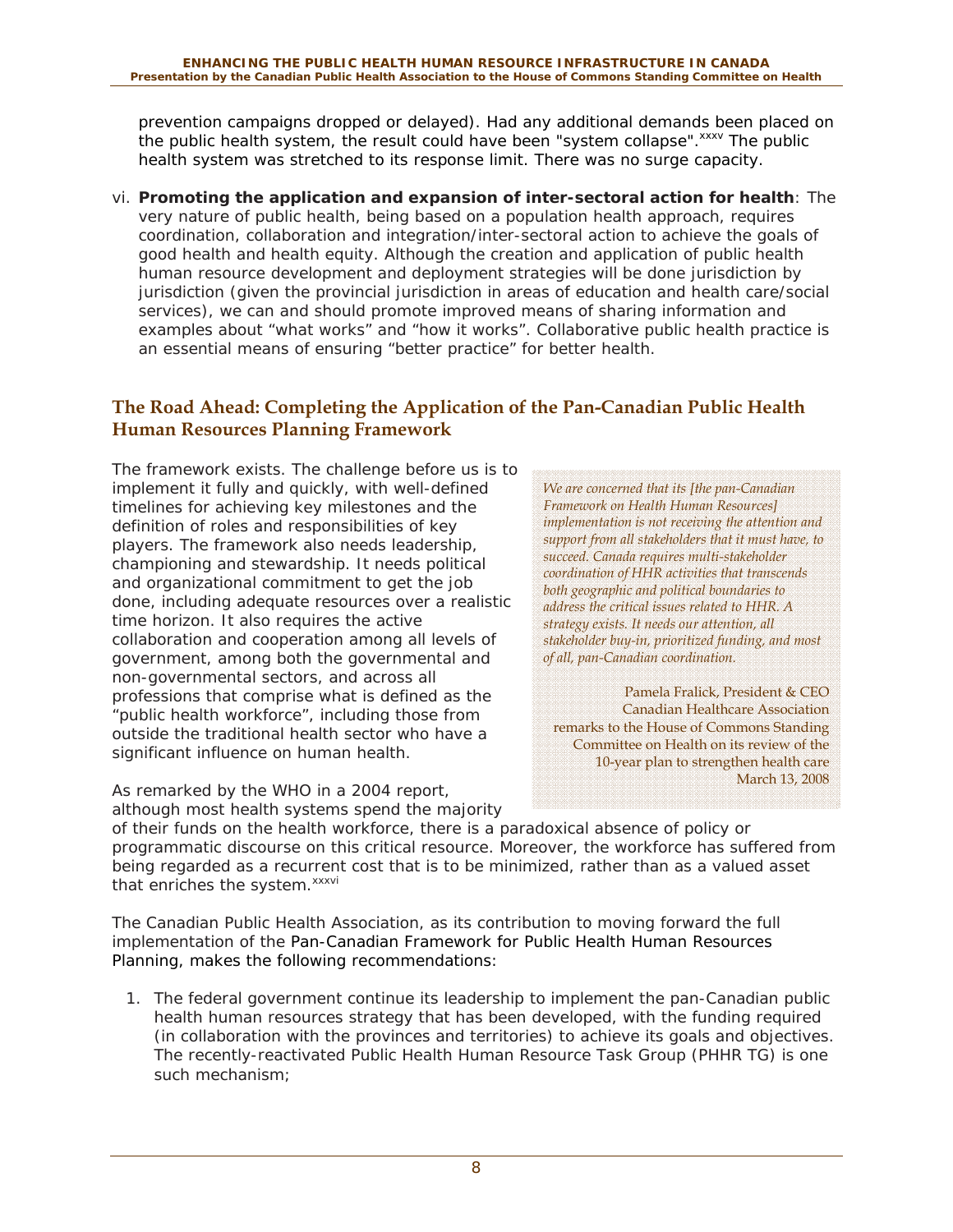prevention campaigns dropped or delayed). Had any additional demands been placed on the public health system, the result could have been "system collapse".<sup>xxxv</sup> The public health system was stretched to its response limit. There was no surge capacity.

*vi. Promoting the application and expansion of inter-sectoral action for health*: The very nature of public health, being based on a population health approach, requires coordination, collaboration and integration/inter-sectoral action to achieve the goals of good health and health equity. Although the creation and application of public health human resource development and deployment strategies will be done jurisdiction by jurisdiction (given the provincial jurisdiction in areas of education and health care/social services), we can and should promote improved means of sharing information and examples about "what works" and "how it works". Collaborative public health practice is an essential means of ensuring "better practice" for better health.

### **The Road Ahead: Completing the Application of the Pan-Canadian Public Health Human Resources Planning Framework**

The framework exists. The challenge before us is to implement it fully and quickly, with well-defined timelines for achieving key milestones and the definition of roles and responsibilities of key players. The framework also needs leadership, championing and stewardship. It needs political and organizational commitment to get the job done, including adequate resources over a realistic time horizon. It also requires the active collaboration and cooperation among all levels of government, among both the governmental and non-governmental sectors, and across all professions that comprise what is defined as the "public health workforce", including those from outside the traditional health sector who have a significant influence on human health.

As remarked by the WHO in a 2004 report, although most health systems spend the majority *We are concerned that its [the pan-Canadian Framework on Health Human Resources] implementation is not receiving the attention and support from all stakeholders that it must have, to succeed. Canada requires multi-stakeholder coordination of HHR activities that transcends both geographic and political boundaries to address the critical issues related to HHR. A strategy exists. It needs our attention, all stakeholder buy-in, prioritized funding, and most of all, pan-Canadian coordination.* 

Pamela Fralick, President & CEO Canadian Healthcare Association remarks to the House of Commons Standing Committee on Health on its review of the 10-year plan to strengthen health care March 13, 2008

of their funds on the health workforce, there is a paradoxical absence of policy or programmatic discourse on this critical resource. Moreover, the workforce has suffered from being regarded as a recurrent cost that is to be minimized, rather than as a valued asset that enriches the system.<sup>xxxvi</sup>

The Canadian Public Health Association, as its contribution to moving forward the full implementation of the *Pan-Canadian Framework for Public Health Human Resources Planning*, makes the following recommendations:

1. The federal government continue its leadership to implement the pan-Canadian public health human resources strategy that has been developed, with the funding required (in collaboration with the provinces and territories) to achieve its goals and objectives. The recently-reactivated Public Health Human Resource Task Group (PHHR TG) is one such mechanism;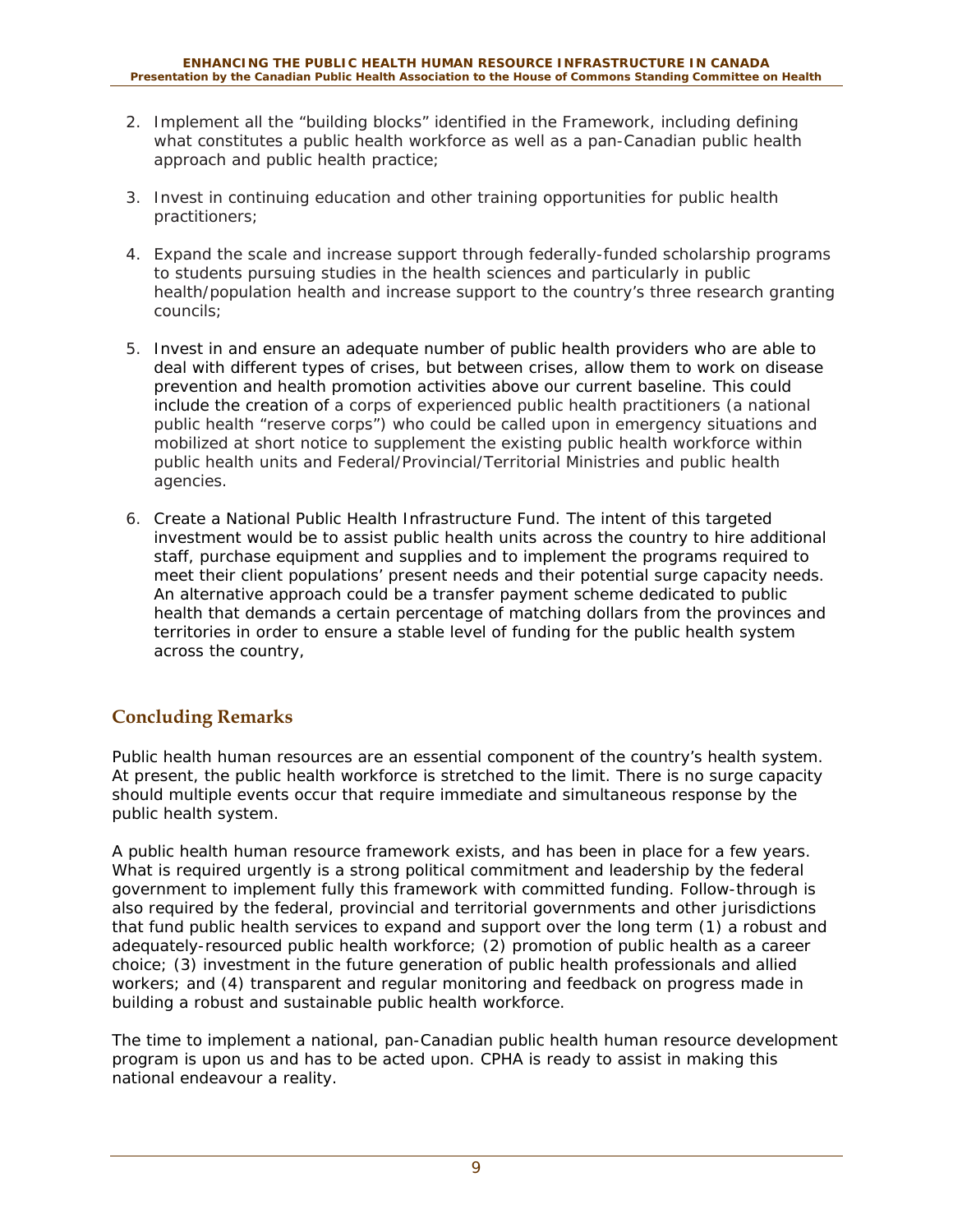- 2. Implement all the "building blocks" identified in the Framework, including defining what constitutes a public health workforce as well as a pan-Canadian public health approach and public health practice;
- 3. Invest in continuing education and other training opportunities for public health practitioners;
- 4. Expand the scale and increase support through federally-funded scholarship programs to students pursuing studies in the health sciences and particularly in public health/population health and increase support to the country's three research granting councils;
- 5. Invest in and ensure an adequate number of public health providers who are able to deal with different types of crises, but between crises, allow them to work on disease prevention and health promotion activities above our current baseline. This could include the creation of a corps of experienced public health practitioners (a national public health "reserve corps") who could be called upon in emergency situations and mobilized at short notice to supplement the existing public health workforce within public health units and Federal/Provincial/Territorial Ministries and public health agencies.
- 6. Create a National Public Health Infrastructure Fund. The intent of this targeted investment would be to assist public health units across the country to hire additional staff, purchase equipment and supplies and to implement the programs required to meet their client populations' present needs and their potential surge capacity needs. An alternative approach could be a transfer payment scheme dedicated to public health that demands a certain percentage of matching dollars from the provinces and territories in order to ensure a stable level of funding for the public health system across the country,

### **Concluding Remarks**

Public health human resources are an essential component of the country's health system. At present, the public health workforce is stretched to the limit. There is no surge capacity should multiple events occur that require immediate and simultaneous response by the public health system.

A public health human resource framework exists, and has been in place for a few years. What is required urgently is a strong political commitment and leadership by the federal government to implement fully this framework with committed funding. Follow-through is also required by the federal, provincial and territorial governments and other jurisdictions that fund public health services to expand and support over the long term (1) a robust and adequately-resourced public health workforce; (2) promotion of public health as a career choice; (3) investment in the future generation of public health professionals and allied workers; and (4) transparent and regular monitoring and feedback on progress made in building a robust and sustainable public health workforce.

The time to implement a national, pan-Canadian public health human resource development program is upon us and has to be acted upon. CPHA is ready to assist in making this national endeavour a reality.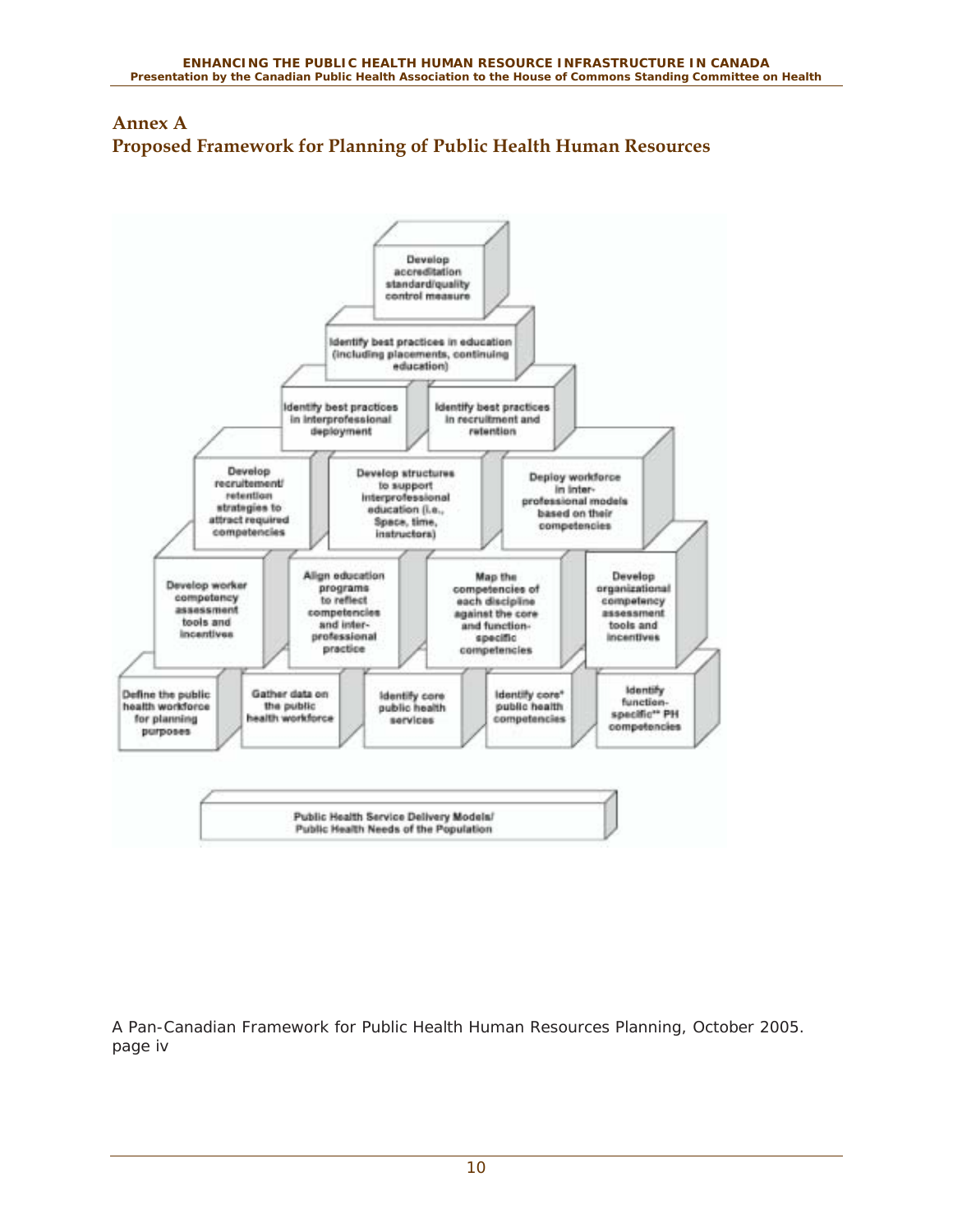



A Pan-Canadian Framework for Public Health Human Resources Planning, October 2005. page iv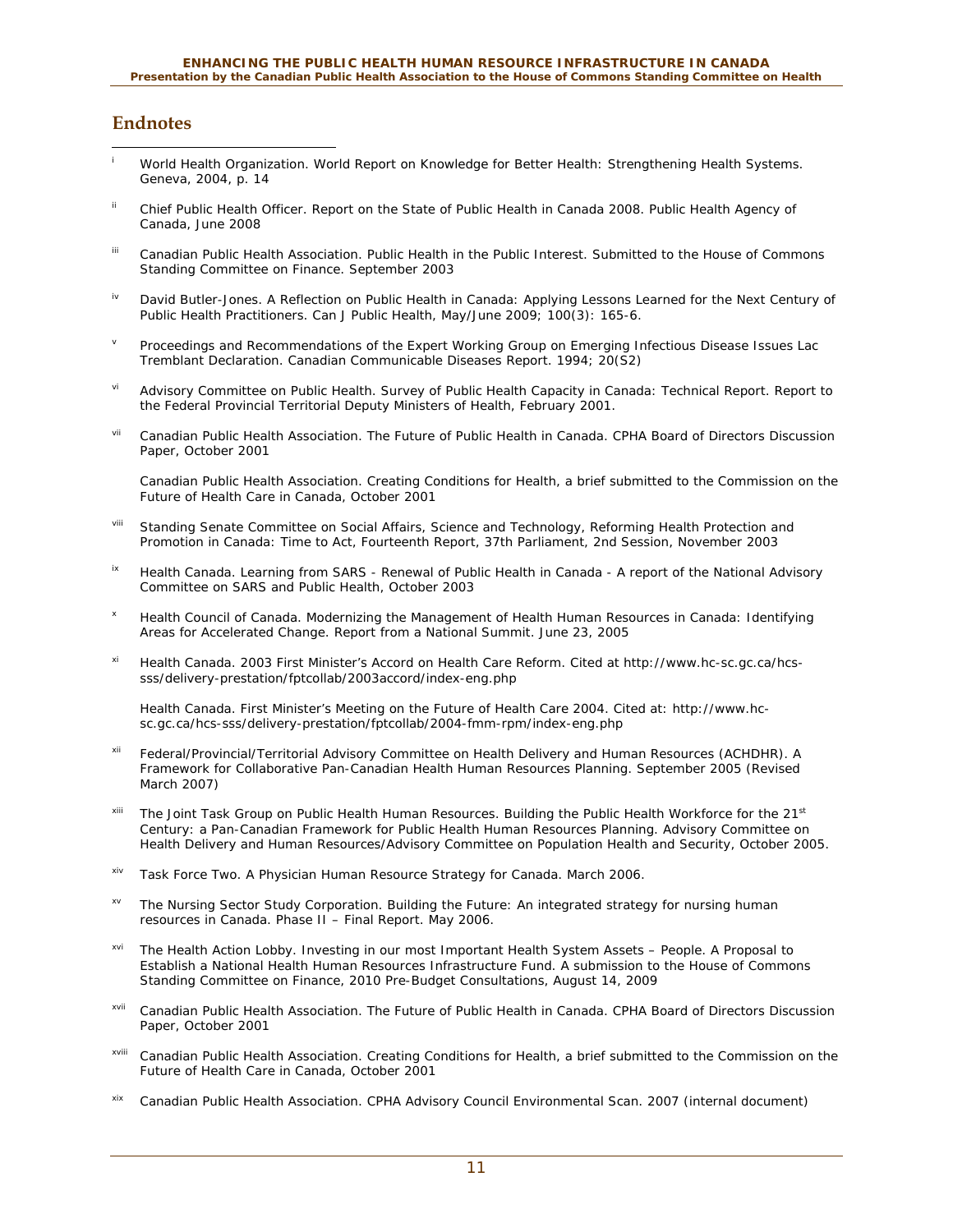#### **Endnotes**

- $\overline{a}$ i World Health Organization. *World Report on Knowledge for Better Health: Strengthening Health Systems*. Geneva, 2004, p. 14
- <sup>ii</sup> Chief Public Health Officer. *Report on the State of Public Health in Canada 2008*. Public Health Agency of Canada, June 2008
- iii Canadian Public Health Association. *Public Health in the Public Interest. Submitted to the House of Commons Standing Committee on Finance*. September 2003
- <sup>iv</sup> David Butler-Jones. A Reflection on Public Health in Canada: Applying Lessons Learned for the Next Century of Public Health Practitioners. *Can J Public Health*, May/June 2009; 100(3): 165-6.
- v Proceedings and Recommendations of the Expert Working Group on Emerging Infectious Disease Issues Lac Tremblant Declaration. *Canadian Communicable Diseases Report*. 1994; 20(S2)
- vi Advisory Committee on Public Health. *Survey of Public Health Capacity in Canada: Technical Report. Report to the Federal Provincial Territorial Deputy Ministers of Health*, February 2001.
- vii Canadian Public Health Association. *The Future of Public Health in Canada. CPHA Board of Directors Discussion Paper*, October 2001

 Canadian Public Health Association. *Creating Conditions for Health, a brief submitted to the Commission on the Future of Health Care in Canada*, October 2001

- viii Standing Senate Committee on Social Affairs, Science and Technology, *Reforming Health Protection and Promotion in Canada: Time to Act*, Fourteenth Report, 37th Parliament, 2nd Session, November 2003
- <sup>ix</sup> Health Canada. *Learning from SARS Renewal of Public Health in Canada A report of the National Advisory Committee on SARS and Public Health*, October 2003
- x Health Council of Canada. *Modernizing the Management of Health Human Resources in Canada: Identifying Areas for Accelerated Change*. Report from a National Summit. June 23, 2005
- xi Health Canada. *2003 First Minister's Accord on Health Care Reform*. Cited at http://www.hc-sc.gc.ca/hcssss/delivery-prestation/fptcollab/2003accord/index-eng.php

 Health Canada. *First Minister's Meeting on the Future of Health Care 2004*. Cited at: http://www.hcsc.gc.ca/hcs-sss/delivery-prestation/fptcollab/2004-fmm-rpm/index-eng.php

- Federal/Provincial/Territorial Advisory Committee on Health Delivery and Human Resources (ACHDHR). *A Framework for Collaborative Pan-Canadian Health Human Resources Planning*. September 2005 (Revised March 2007)
- xiii The Joint Task Group on Public Health Human Resources. Building the Public Health Workforce for the 21<sup>st</sup> Century: a Pan-Canadian Framework for Public Health Human Resources Planning. Advisory Committee on Health Delivery and Human Resources/Advisory Committee on Population Health and Security, October 2005.
- xiv Task Force Two. *A Physician Human Resource Strategy for Canada*. March 2006.
- xv The Nursing Sector Study Corporation. *Building the Future: An integrated strategy for nursing human resources in Canada*. Phase II – Final Report. May 2006.
- xvi The Health Action Lobby. *Investing in our most Important Health System Assets People. A Proposal to Establish a National Health Human Resources Infrastructure Fund. A submission to the House of Commons Standing Committee on Finance*, 2010 Pre-Budget Consultations, August 14, 2009
- xvii Canadian Public Health Association. *The Future of Public Health in Canada. CPHA Board of Directors Discussion Paper*, October 2001
- xviii Canadian Public Health Association. *Creating Conditions for Health, a brief submitted to the Commission on the Future of Health Care in Canada*, October 2001
- xix Canadian Public Health Association. *CPHA Advisory Council Environmental Scan*. 2007 (internal document)